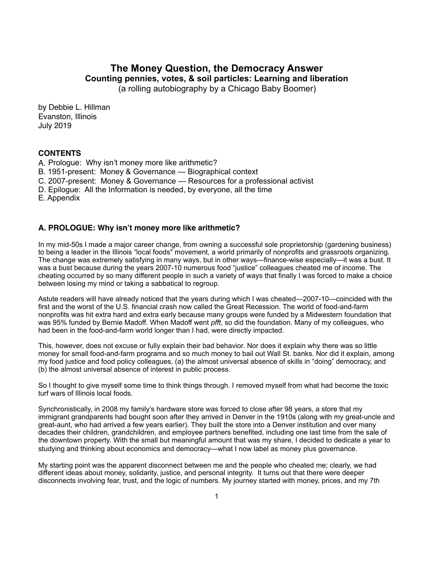# **The Money Question, the Democracy Answer Counting pennies, votes, & soil particles: Learning and liberation**

(a rolling autobiography by a Chicago Baby Boomer)

by Debbie L. Hillman Evanston, Illinois July 2019

## **CONTENTS**

- A. Prologue: Why isn't money more like arithmetic?
- B. 1951-present: Money & Governance Biographical context
- C. 2007-present: Money & Governance Resources for a professional activist
- D. Epilogue: All the Information is needed, by everyone, all the time

E. Appendix

## **A. PROLOGUE: Why isn't money more like arithmetic?**

In my mid-50s I made a major career change, from owning a successful sole proprietorship (gardening business) to being a leader in the Illinois "local foods" movement, a world primarily of nonprofits and grassroots organizing. The change was extremely satisfying in many ways, but in other ways—finance-wise especially—it was a bust. It was a bust because during the years 2007-10 numerous food "justice" colleagues cheated me of income. The cheating occurred by so many different people in such a variety of ways that finally I was forced to make a choice between losing my mind or taking a sabbatical to regroup.

Astute readers will have already noticed that the years during which I was cheated—2007-10—coincided with the first and the worst of the U.S. financial crash now called the Great Recession. The world of food-and-farm nonprofits was hit extra hard and extra early because many groups were funded by a Midwestern foundation that was 95% funded by Bernie Madoff. When Madoff went *pfft*, so did the foundation. Many of my colleagues, who had been in the food-and-farm world longer than I had, were directly impacted.

This, however, does not excuse or fully explain their bad behavior. Nor does it explain why there was so little money for small food-and-farm programs and so much money to bail out Wall St. banks. Nor did it explain, among my food justice and food policy colleagues, (a) the almost universal absence of skills in "doing" democracy, and (b) the almost universal absence of interest in public process.

So I thought to give myself some time to think things through. I removed myself from what had become the toxic turf wars of Illinois local foods.

Synchronistically, in 2008 my family's hardware store was forced to close after 98 years, a store that my immigrant grandparents had bought soon after they arrived in Denver in the 1910s (along with my great-uncle and great-aunt, who had arrived a few years earlier). They built the store into a Denver institution and over many decades their children, grandchildren, and employee partners benefited, including one last time from the sale of the downtown property. With the small but meaningful amount that was my share, I decided to dedicate a year to studying and thinking about economics and democracy—what I now label as money plus governance.

My starting point was the apparent disconnect between me and the people who cheated me; clearly, we had different ideas about money, solidarity, justice, and personal integrity. It turns out that there were deeper disconnects involving fear, trust, and the logic of numbers. My journey started with money, prices, and my 7th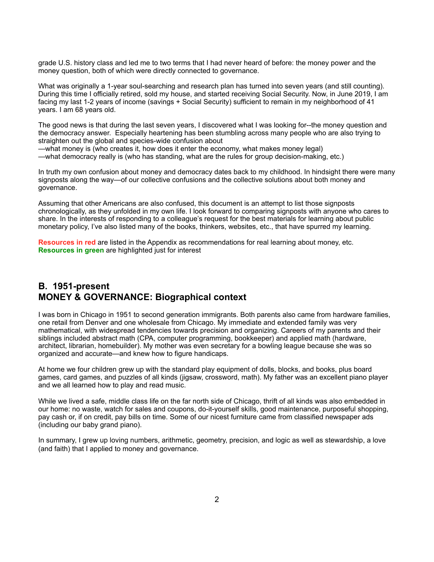grade U.S. history class and led me to two terms that I had never heard of before: the money power and the money question, both of which were directly connected to governance.

What was originally a 1-year soul-searching and research plan has turned into seven years (and still counting). During this time I officially retired, sold my house, and started receiving Social Security. Now, in June 2019, I am facing my last 1-2 years of income (savings + Social Security) sufficient to remain in my neighborhood of 41 years. I am 68 years old.

The good news is that during the last seven years, I discovered what I was looking for--the money question and the democracy answer. Especially heartening has been stumbling across many people who are also trying to straighten out the global and species-wide confusion about

—what money is (who creates it, how does it enter the economy, what makes money legal) —what democracy really is (who has standing, what are the rules for group decision-making, etc.)

In truth my own confusion about money and democracy dates back to my childhood. In hindsight there were many signposts along the way—of our collective confusions and the collective solutions about both money and governance.

Assuming that other Americans are also confused, this document is an attempt to list those signposts chronologically, as they unfolded in my own life. I look forward to comparing signposts with anyone who cares to share. In the interests of responding to a colleague's request for the best materials for learning about public monetary policy, I've also listed many of the books, thinkers, websites, etc., that have spurred my learning.

**Resources in red** are listed in the Appendix as recommendations for real learning about money, etc. **Resources in green** are highlighted just for interest

# **B. 1951-present MONEY & GOVERNANCE: Biographical context**

I was born in Chicago in 1951 to second generation immigrants. Both parents also came from hardware families, one retail from Denver and one wholesale from Chicago. My immediate and extended family was very mathematical, with widespread tendencies towards precision and organizing. Careers of my parents and their siblings included abstract math (CPA, computer programming, bookkeeper) and applied math (hardware, architect, librarian, homebuilder). My mother was even secretary for a bowling league because she was so organized and accurate—and knew how to figure handicaps.

At home we four children grew up with the standard play equipment of dolls, blocks, and books, plus board games, card games, and puzzles of all kinds (jigsaw, crossword, math). My father was an excellent piano player and we all learned how to play and read music.

While we lived a safe, middle class life on the far north side of Chicago, thrift of all kinds was also embedded in our home: no waste, watch for sales and coupons, do-it-yourself skills, good maintenance, purposeful shopping, pay cash or, if on credit, pay bills on time. Some of our nicest furniture came from classified newspaper ads (including our baby grand piano).

In summary, I grew up loving numbers, arithmetic, geometry, precision, and logic as well as stewardship, a love (and faith) that I applied to money and governance.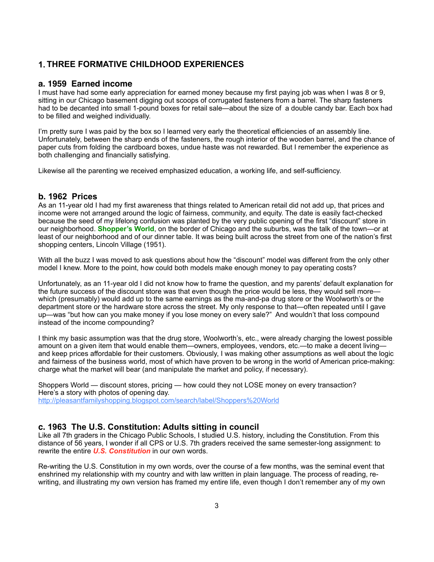# **1. THREE FORMATIVE CHILDHOOD EXPERIENCES**

### **a. 1959 Earned income**

I must have had some early appreciation for earned money because my first paying job was when I was 8 or 9, sitting in our Chicago basement digging out scoops of corrugated fasteners from a barrel. The sharp fasteners had to be decanted into small 1-pound boxes for retail sale—about the size of a double candy bar. Each box had to be filled and weighed individually.

I'm pretty sure I was paid by the box so I learned very early the theoretical efficiencies of an assembly line. Unfortunately, between the sharp ends of the fasteners, the rough interior of the wooden barrel, and the chance of paper cuts from folding the cardboard boxes, undue haste was not rewarded. But I remember the experience as both challenging and financially satisfying.

Likewise all the parenting we received emphasized education, a working life, and self-sufficiency.

## **b. 1962 Prices**

As an 11-year old I had my first awareness that things related to American retail did not add up, that prices and income were not arranged around the logic of fairness, community, and equity. The date is easily fact-checked because the seed of my lifelong confusion was planted by the very public opening of the first "discount" store in our neighborhood. **Shopper's World**, on the border of Chicago and the suburbs, was the talk of the town—or at least of our neighborhood and of our dinner table. It was being built across the street from one of the nation's first shopping centers, Lincoln Village (1951).

With all the buzz I was moved to ask questions about how the "discount" model was different from the only other model I knew. More to the point, how could both models make enough money to pay operating costs?

Unfortunately, as an 11-year old I did not know how to frame the question, and my parents' default explanation for the future success of the discount store was that even though the price would be less, they would sell more which (presumably) would add up to the same earnings as the ma-and-pa drug store or the Woolworth's or the department store or the hardware store across the street. My only response to that—often repeated until I gave up—was "but how can you make money if you lose money on every sale?" And wouldn't that loss compound instead of the income compounding?

I think my basic assumption was that the drug store, Woolworth's, etc., were already charging the lowest possible amount on a given item that would enable them—owners, employees, vendors, etc.—to make a decent living and keep prices affordable for their customers. Obviously, I was making other assumptions as well about the logic and fairness of the business world, most of which have proven to be wrong in the world of American price-making: charge what the market will bear (and manipulate the market and policy, if necessary).

Shoppers World — discount stores, pricing — how could they not LOSE money on every transaction? Here's a story with photos of opening day. [http://pleasantfamilyshopping.blogspot.com/search/label/Shoppers%20World](http://pleasantfamilyshopping.blogspot.com/search/label/Shoppers%25252525252525252525252525252525252525252525252525252525252525252525252525252525252525252525252525252525252525252525252525252525252525252520World)

## **c. 1963 The U.S. Constitution: Adults sitting in council**

Like all 7th graders in the Chicago Public Schools, I studied U.S. history, including the Constitution. From this distance of 56 years, I wonder if all CPS or U.S. 7th graders received the same semester-long assignment: to rewrite the entire *U.S. Constitution* in our own words.

Re-writing the U.S. Constitution in my own words, over the course of a few months, was the seminal event that enshrined my relationship with my country and with law written in plain language. The process of reading, rewriting, and illustrating my own version has framed my entire life, even though I don't remember any of my own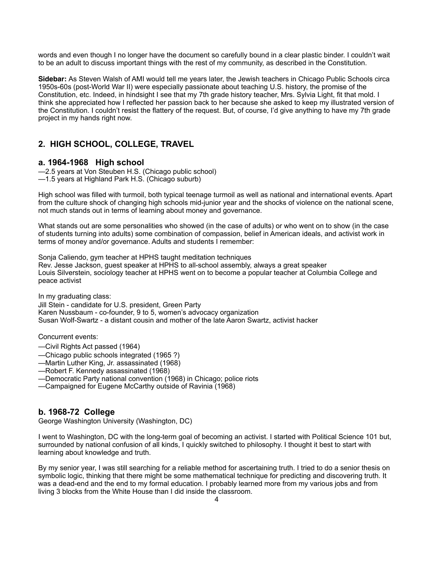words and even though I no longer have the document so carefully bound in a clear plastic binder. I couldn't wait to be an adult to discuss important things with the rest of my community, as described in the Constitution.

**Sidebar:** As Steven Walsh of AMI would tell me years later, the Jewish teachers in Chicago Public Schools circa 1950s-60s (post-World War II) were especially passionate about teaching U.S. history, the promise of the Constitution, etc. Indeed, in hindsight I see that my 7th grade history teacher, Mrs. Sylvia Light, fit that mold. I think she appreciated how I reflected her passion back to her because she asked to keep my illustrated version of the Constitution. I couldn't resist the flattery of the request. But, of course, I'd give anything to have my 7th grade project in my hands right now.

# **2. HIGH SCHOOL, COLLEGE, TRAVEL**

## **a. 1964-1968 High school**

—2.5 years at Von Steuben H.S. (Chicago public school) —1.5 years at Highland Park H.S. (Chicago suburb)

High school was filled with turmoil, both typical teenage turmoil as well as national and international events. Apart from the culture shock of changing high schools mid-junior year and the shocks of violence on the national scene, not much stands out in terms of learning about money and governance.

What stands out are some personalities who showed (in the case of adults) or who went on to show (in the case of students turning into adults) some combination of compassion, belief in American ideals, and activist work in terms of money and/or governance. Adults and students I remember:

Sonja Caliendo, gym teacher at HPHS taught meditation techniques Rev. Jesse Jackson, guest speaker at HPHS to all-school assembly, always a great speaker Louis Silverstein, sociology teacher at HPHS went on to become a popular teacher at Columbia College and peace activist

In my graduating class:

Jill Stein - candidate for U.S. president, Green Party Karen Nussbaum - co-founder, 9 to 5, women's advocacy organization Susan Wolf-Swartz - a distant cousin and mother of the late Aaron Swartz, activist hacker

Concurrent events:

- —Civil Rights Act passed (1964)
- —Chicago public schools integrated (1965 ?)
- —Martin Luther King, Jr. assassinated (1968)
- —Robert F. Kennedy assassinated (1968)
- —Democratic Party national convention (1968) in Chicago; police riots
- —Campaigned for Eugene McCarthy outside of Ravinia (1968)

## **b. 1968-72 College**

George Washington University (Washington, DC)

I went to Washington, DC with the long-term goal of becoming an activist. I started with Political Science 101 but, surrounded by national confusion of all kinds, I quickly switched to philosophy. I thought it best to start with learning about knowledge and truth.

By my senior year, I was still searching for a reliable method for ascertaining truth. I tried to do a senior thesis on symbolic logic, thinking that there might be some mathematical technique for predicting and discovering truth. It was a dead-end and the end to my formal education. I probably learned more from my various jobs and from living 3 blocks from the White House than I did inside the classroom.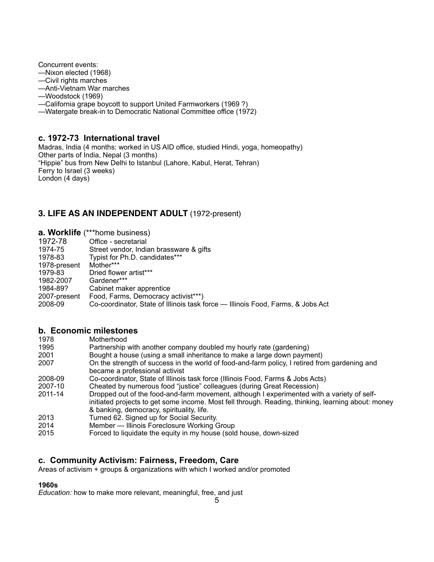Concurrent events:

- —Nixon elected (1968)
- —Civil rights marches
- —Anti-Vietnam War marches
- —Woodstock (1969)
- —California grape boycott to support United Farmworkers (1969 ?)
- —Watergate break-in to Democratic National Committee office (1972)

## **c. 1972-73 International travel**

Madras, India (4 months: worked in US AID office, studied Hindi, yoga, homeopathy) Other parts of India, Nepal (3 months) "Hippie" bus from New Delhi to Istanbul (Lahore, Kabul, Herat, Tehran) Ferry to Israel (3 weeks) London (4 days)

# **3. LIFE AS AN INDEPENDENT ADULT** (1972-present)

|              | <b>a. Worklife</b> (***home business)                                           |
|--------------|---------------------------------------------------------------------------------|
| 1972-78      | Office - secretarial                                                            |
| 1974-75      | Street vendor, Indian brassware & gifts                                         |
| 1978-83      | Typist for Ph.D. candidates***                                                  |
| 1978-present | Mother***                                                                       |
| 1979-83      | Dried flower artist***                                                          |
| 1982-2007    | Gardener***                                                                     |
| 1984-89?     | Cabinet maker apprentice                                                        |
| 2007-present | Food, Farms, Democracy activist***)                                             |
| 2008-09      | Co-coordinator, State of Illinois task force - Illinois Food, Farms, & Jobs Act |

## **b. Economic milestones**

| 1978 | Motherhood |
|------|------------|
|------|------------|

- 1995 Partnership with another company doubled my hourly rate (gardening)<br>2001 Bought a house (using a small inheritance to make a large down paym
- Bought a house (using a small inheritance to make a large down payment) 2007 On the strength of success in the world of food-and-farm policy, I retired from gardening and became a professional activist
- 2008-09 Co-coordinator, State of Illinois task force (Illinois Food, Farms & Jobs Acts)
- 2007-10 Cheated by numerous food "justice" colleagues (during Great Recession)
- Dropped out of the food-and-farm movement, although I experimented with a variety of self initiated projects to get some income. Most fell through. Reading, thinking, learning about: money & banking, democracy, spirituality, life.
- 2013 Turned 62. Signed up for Social Security.
- 2014 Member Illinois Foreclosure Working Group
- 2015 Forced to liquidate the equity in my house (sold house, down-sized

# **c. Community Activism: Fairness, Freedom, Care**

Areas of activism + groups & organizations with which I worked and/or promoted

# **1960s**

*Education:* how to make more relevant, meaningful, free, and just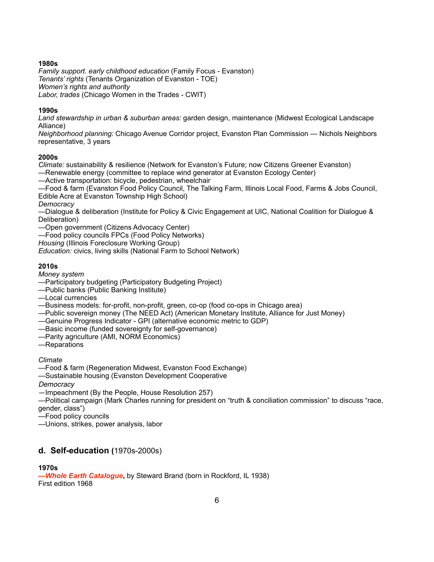## **1980s**

*Family support. early childhood education* (Family Focus - Evanston) *Tenants' rights* (Tenants Organization of Evanston - TOE) *Women's rights and authority Labor, trades* (Chicago Women in the Trades - CWIT)

### **1990s**

*Land stewardship in urban & suburban areas:* garden design, maintenance (Midwest Ecological Landscape Alliance)

*Neighborhood planning:* Chicago Avenue Corridor project, Evanston Plan Commission — Nichols Neighbors representative, 3 years

## **2000s**

*Climate:* sustainability & resilience (Network for Evanston's Future; now Citizens Greener Evanston)

—Renewable energy (committee to replace wind generator at Evanston Ecology Center)

—Active transportation: bicycle, pedestrian, wheelchair

—Food & farm (Evanston Food Policy Council, The Talking Farm, Illinois Local Food, Farms & Jobs Council, Edible Acre at Evanston Township High School)

*Democracy* 

—Dialogue & deliberation (Institute for Policy & Civic Engagement at UIC, National Coalition for Dialogue & Deliberation)

—Open government (Citizens Advocacy Center)

—Food policy councils FPCs (Food Policy Networks)

*Housing* (Illinois Foreclosure Working Group)

*Education:* civics, living skills (National Farm to School Network)

## **2010s**

*Money system* 

—Participatory budgeting (Participatory Budgeting Project)

—Public banks (Public Banking Institute)

—Local currencies

—Business models: for-profit, non-profit, green, co-op (food co-ops in Chicago area)

—Public sovereign money (The NEED Act) (American Monetary Institute, Alliance for Just Money)

—Genuine Progress Indicator - GPI (alternative economic metric to GDP)

—Basic income (funded sovereignty for self-governance)

—Parity agriculture (AMI, NORM Economics)

—Reparations

*Climate* 

—Food & farm (Regeneration Midwest, Evanston Food Exchange)

—Sustainable housing (Evanston Development Cooperative

*Democracy*

—Impeachment (By the People, House Resolution 257)

—Political campaign (Mark Charles running for president on "truth & conciliation commission" to discuss "race, gender, class")

—Food policy councils

—Unions, strikes, power analysis, labor

# **d. Self-education (**1970s-2000s)

## **1970s**

*—Whole Earth Catalogue***,** by Steward Brand (born in Rockford, IL 1938) First edition 1968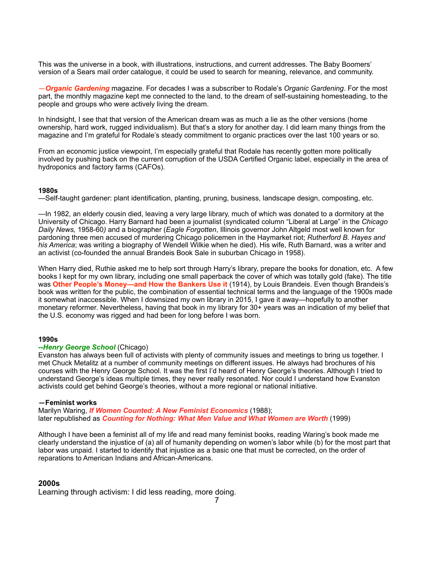This was the universe in a book, with illustrations, instructions, and current addresses. The Baby Boomers' version of a Sears mail order catalogue, it could be used to search for meaning, relevance, and community.

—*Organic Gardening* magazine. For decades I was a subscriber to Rodale's *Organic Gardening*. For the most part, the monthly magazine kept me connected to the land, to the dream of self-sustaining homesteading, to the people and groups who were actively living the dream.

In hindsight, I see that that version of the American dream was as much a lie as the other versions (home ownership, hard work, rugged individualism). But that's a story for another day. I did learn many things from the magazine and I'm grateful for Rodale's steady commitment to organic practices over the last 100 years or so.

From an economic justice viewpoint, I'm especially grateful that Rodale has recently gotten more politically involved by pushing back on the current corruption of the USDA Certified Organic label, especially in the area of hydroponics and factory farms (CAFOs).

#### **1980s**

—Self-taught gardener: plant identification, planting, pruning, business, landscape design, composting, etc.

—In 1982, an elderly cousin died, leaving a very large library, much of which was donated to a dormitory at the University of Chicago. Harry Barnard had been a journalist (syndicated column "Liberal at Large" in the *Chicago Daily News,* 1958-60*)* and a biographer (*Eagle Forgotten*, Illinois governor John Altgeld most well known for pardoning three men accused of murdering Chicago policemen in the Haymarket riot; *Rutherford B. Hayes and his America*; was writing a biography of Wendell Wilkie when he died). His wife, Ruth Barnard, was a writer and an activist (co-founded the annual Brandeis Book Sale in suburban Chicago in 1958).

When Harry died, Ruthie asked me to help sort through Harry's library, prepare the books for donation, etc. A few books I kept for my own library, including one small paperback the cover of which was totally gold (fake). The title was **Other People's Money—and How the Bankers Use it** (1914), by Louis Brandeis. Even though Brandeis's book was written for the public, the combination of essential technical terms and the language of the 1900s made it somewhat inaccessible. When I downsized my own library in 2015, I gave it away—hopefully to another monetary reformer. Nevertheless, having that book in my library for 30+ years was an indication of my belief that the U.S. economy was rigged and had been for long before I was born.

### **1990s**

#### *--Henry George School* (Chicago)

Evanston has always been full of activists with plenty of community issues and meetings to bring us together. I met Chuck Metalitz at a number of community meetings on different issues. He always had brochures of his courses with the Henry George School. It was the first I'd heard of Henry George's theories. Although I tried to understand George's ideas multiple times, they never really resonated. Nor could I understand how Evanston activists could get behind George's theories, without a more regional or national initiative.

#### **—Feminist works**

Marilyn Waring, *If Women Counted: A New Feminist Economics* (1988); later republished as *Counting for Nothing: What Men Value and What Women are Worth* (1999)

Although I have been a feminist all of my life and read many feminist books, reading Waring's book made me clearly understand the injustice of (a) all of humanity depending on women's labor while (b) for the most part that labor was unpaid. I started to identify that injustice as a basic one that must be corrected, on the order of reparations to American Indians and African-Americans.

### **2000s**

Learning through activism: I did less reading, more doing.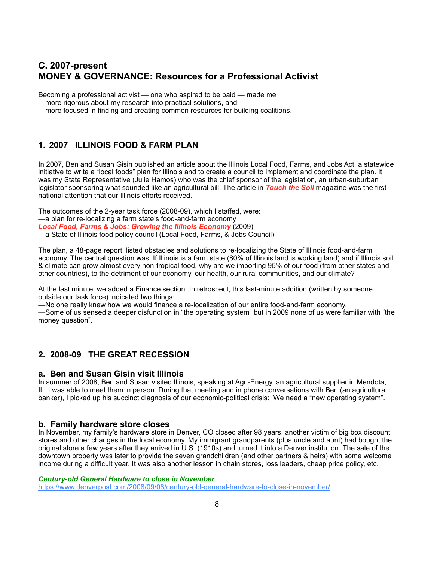# **C. 2007-present MONEY & GOVERNANCE: Resources for a Professional Activist**

Becoming a professional activist — one who aspired to be paid — made me

—more rigorous about my research into practical solutions, and

—more focused in finding and creating common resources for building coalitions.

# **1. 2007 ILLINOIS FOOD & FARM PLAN**

In 2007, Ben and Susan Gisin published an article about the Illinois Local Food, Farms, and Jobs Act, a statewide initiative to write a "local foods" plan for Illinois and to create a council to implement and coordinate the plan. It was my State Representative (Julie Hamos) who was the chief sponsor of the legislation, an urban-suburban legislator sponsoring what sounded like an agricultural bill. The article in *Touch the Soil* magazine was the first national attention that our Illinois efforts received.

The outcomes of the 2-year task force (2008-09), which I staffed, were: —a plan for re-localizing a farm state's food-and-farm economy *Local Food, Farms & Jobs: Growing the Illinois Economy* (2009) —a State of Illinois food policy council (Local Food, Farms, & Jobs Council)

The plan, a 48-page report, listed obstacles and solutions to re-localizing the State of Illinois food-and-farm economy. The central question was: If Illinois is a farm state (80% of Illinois land is working land) and if Illinois soil & climate can grow almost every non-tropical food, why are we importing 95% of our food (from other states and other countries), to the detriment of our economy, our health, our rural communities, and our climate?

At the last minute, we added a Finance section. In retrospect, this last-minute addition (written by someone outside our task force) indicated two things:

—No one really knew how we would finance a re-localization of our entire food-and-farm economy.

—Some of us sensed a deeper disfunction in "the operating system" but in 2009 none of us were familiar with "the money question".

# **2. 2008-09 THE GREAT RECESSION**

### **a. Ben and Susan Gisin visit Illinois**

In summer of 2008, Ben and Susan visited Illinois, speaking at Agri-Energy, an agricultural supplier in Mendota, IL. I was able to meet them in person. During that meeting and in phone conversations with Ben (an agricultural banker), I picked up his succinct diagnosis of our economic-political crisis: We need a "new operating system".

## **b. Family hardware store closes**

In November, my **f**amily's hardware store in Denver, CO closed after 98 years, another victim of big box discount stores and other changes in the local economy. My immigrant grandparents (plus uncle and aunt) had bought the original store a few years after they arrived in U.S. (1910s) and turned it into a Denver institution. The sale of the downtown property was later to provide the seven grandchildren (and other partners & heirs) with some welcome income during a difficult year. It was also another lesson in chain stores, loss leaders, cheap price policy, etc.

#### *Century-old General Hardware to close in November*

<https://www.denverpost.com/2008/09/08/century-old-general-hardware-to-close-in-november/>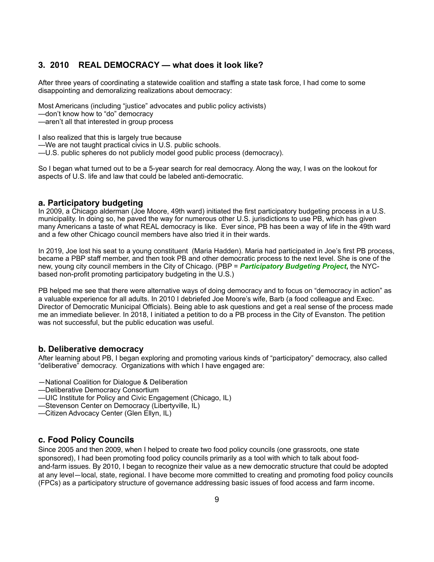## **3. 2010 REAL DEMOCRACY — what does it look like?**

After three years of coordinating a statewide coalition and staffing a state task force, I had come to some disappointing and demoralizing realizations about democracy:

Most Americans (including "justice" advocates and public policy activists)

—don't know how to "do" democracy

—aren't all that interested in group process

I also realized that this is largely true because

—We are not taught practical civics in U.S. public schools.

—U.S. public spheres do not publicly model good public process (democracy).

So I began what turned out to be a 5-year search for real democracy. Along the way, I was on the lookout for aspects of U.S. life and law that could be labeled anti-democratic.

### **a. Participatory budgeting**

In 2009, a Chicago alderman (Joe Moore, 49th ward) initiated the first participatory budgeting process in a U.S. municipality. In doing so, he paved the way for numerous other U.S. jurisdictions to use PB, which has given many Americans a taste of what REAL democracy is like. Ever since, PB has been a way of life in the 49th ward and a few other Chicago council members have also tried it in their wards.

In 2019, Joe lost his seat to a young constituent (Maria Hadden). Maria had participated in Joe's first PB process, became a PBP staff member, and then took PB and other democratic process to the next level. She is one of the new, young city council members in the City of Chicago. (PBP = *Participatory Budgeting Project***,** the NYCbased non-profit promoting participatory budgeting in the U.S.)

PB helped me see that there were alternative ways of doing democracy and to focus on "democracy in action" as a valuable experience for all adults. In 2010 I debriefed Joe Moore's wife, Barb (a food colleague and Exec. Director of Democratic Municipal Officials). Being able to ask questions and get a real sense of the process made me an immediate believer. In 2018, I initiated a petition to do a PB process in the City of Evanston. The petition was not successful, but the public education was useful.

## **b. Deliberative democracy**

After learning about PB, I began exploring and promoting various kinds of "participatory" democracy, also called "deliberative" democracy. Organizations with which I have engaged are:

- —National Coalition for Dialogue & Deliberation
- —Deliberative Democracy Consortium
- —UIC Institute for Policy and Civic Engagement (Chicago, IL)
- —Stevenson Center on Democracy (Libertyville, IL)
- —Citizen Advocacy Center (Glen Ellyn, IL)

## **c. Food Policy Councils**

Since 2005 and then 2009, when I helped to create two food policy councils (one grassroots, one state sponsored), I had been promoting food policy councils primarily as a tool with which to talk about foodand-farm issues. By 2010, I began to recognize their value as a new democratic structure that could be adopted at any level—local, state, regional. I have become more committed to creating and promoting food policy councils (FPCs) as a participatory structure of governance addressing basic issues of food access and farm income.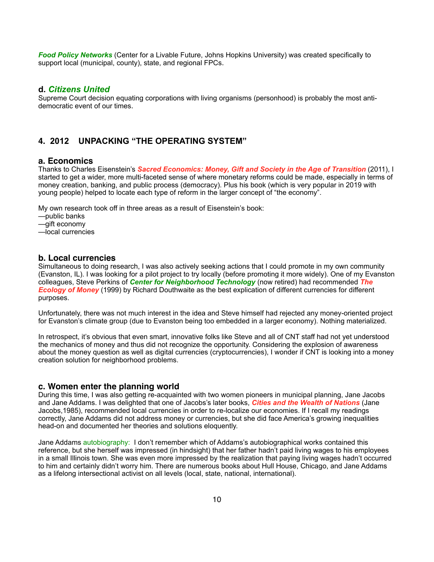*Food Policy Networks* (Center for a Livable Future, Johns Hopkins University) was created specifically to support local (municipal, county), state, and regional FPCs.

## **d.** *Citizens United*

Supreme Court decision equating corporations with living organisms (personhood) is probably the most antidemocratic event of our times.

## **4. 2012 UNPACKING "THE OPERATING SYSTEM"**

### **a. Economics**

Thanks to Charles Eisenstein's *Sacred Economics: Money, Gift and Society in the Age of Transition* (2011), I started to get a wider, more multi-faceted sense of where monetary reforms could be made, especially in terms of money creation, banking, and public process (democracy). Plus his book (which is very popular in 2019 with young people) helped to locate each type of reform in the larger concept of "the economy".

My own research took off in three areas as a result of Eisenstein's book:

- —public banks
- —gift economy
- —local currencies

### **b. Local currencies**

Simultaneous to doing research, I was also actively seeking actions that I could promote in my own community (Evanston, IL). I was looking for a pilot project to try locally (before promoting it more widely). One of my Evanston colleagues, Steve Perkins of *Center for Neighborhood Technology* (now retired) had recommended *The Ecology of Money* (1999) by Richard Douthwaite as the best explication of different currencies for different purposes.

Unfortunately, there was not much interest in the idea and Steve himself had rejected any money-oriented project for Evanston's climate group (due to Evanston being too embedded in a larger economy). Nothing materialized.

In retrospect, it's obvious that even smart, innovative folks like Steve and all of CNT staff had not yet understood the mechanics of money and thus did not recognize the opportunity. Considering the explosion of awareness about the money question as well as digital currencies (cryptocurrencies), I wonder if CNT is looking into a money creation solution for neighborhood problems.

### **c. Women enter the planning world**

During this time, I was also getting re-acquainted with two women pioneers in municipal planning, Jane Jacobs and Jane Addams. I was delighted that one of Jacobs's later books, *Cities and the Wealth of Nations* (Jane Jacobs,1985), recommended local currencies in order to re-localize our economies. If I recall my readings correctly, Jane Addams did not address money or currencies, but she did face America's growing inequalities head-on and documented her theories and solutions eloquently.

Jane Addams autobiography: I don't remember which of Addams's autobiographical works contained this reference, but she herself was impressed (in hindsight) that her father hadn't paid living wages to his employees in a small Illinois town. She was even more impressed by the realization that paying living wages hadn't occurred to him and certainly didn't worry him. There are numerous books about Hull House, Chicago, and Jane Addams as a lifelong intersectional activist on all levels (local, state, national, international).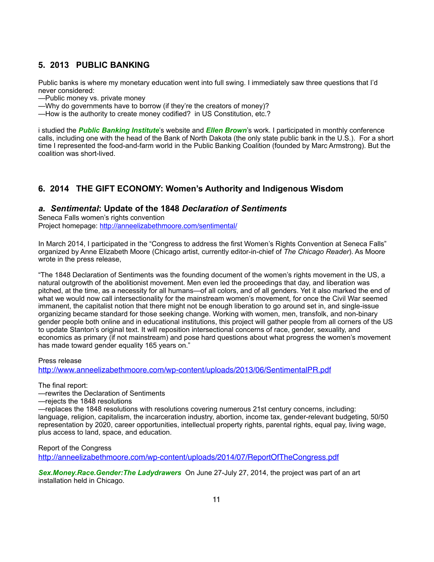# **5. 2013 PUBLIC BANKING**

Public banks is where my monetary education went into full swing. I immediately saw three questions that I'd never considered:

- —Public money vs. private money
- —Why do governments have to borrow (if they're the creators of money)?
- —How is the authority to create money codified? in US Constitution, etc.?

i studied the *Public Banking Institute*'s website and *Ellen Brown*'s work. I participated in monthly conference calls, including one with the head of the Bank of North Dakota (the only state public bank in the U.S.). For a short time I represented the food-and-farm world in the Public Banking Coalition (founded by Marc Armstrong). But the coalition was short-lived.

# **6. 2014 THE GIFT ECONOMY: Women's Authority and Indigenous Wisdom**

## *a. Sentimental***: Update of the 1848** *Declaration of Sentiments*

Seneca Falls women's rights convention Project homepage: <http://anneelizabethmoore.com/sentimental/>

In March 2014, I participated in the "Congress to address the first Women's Rights Convention at Seneca Falls" organized by Anne Elizabeth Moore (Chicago artist, currently editor-in-chief of *The Chicago Reader*). As Moore wrote in the press release,

"The 1848 Declaration of Sentiments was the founding document of the women's rights movement in the US, a natural outgrowth of the abolitionist movement. Men even led the proceedings that day, and liberation was pitched, at the time, as a necessity for all humans—of all colors, and of all genders. Yet it also marked the end of what we would now call intersectionality for the mainstream women's movement, for once the Civil War seemed immanent, the capitalist notion that there might not be enough liberation to go around set in, and single-issue organizing became standard for those seeking change. Working with women, men, transfolk, and non-binary gender people both online and in educational institutions, this project will gather people from all corners of the US to update Stanton's original text. It will reposition intersectional concerns of race, gender, sexuality, and economics as primary (if not mainstream) and pose hard questions about what progress the women's movement has made toward gender equality 165 years on."

#### Press release

<http://www.anneelizabethmoore.com/wp-content/uploads/2013/06/SentimentalPR.pdf>

The final report:

—rewrites the Declaration of Sentiments

—rejects the 1848 resolutions

—replaces the 1848 resolutions with resolutions covering numerous 21st century concerns, including: language, religion, capitalism, the incarceration industry, abortion, income tax, gender-relevant budgeting, 50/50 representation by 2020, career opportunities, intellectual property rights, parental rights, equal pay, living wage, plus access to land, space, and education.

Report of the Congress <http://anneelizabethmoore.com/wp-content/uploads/2014/07/ReportOfTheCongress.pdf>

*Sex.Money.Race.Gender:The Ladydrawers* On June 27-July 27, 2014, the project was part of an art installation held in Chicago.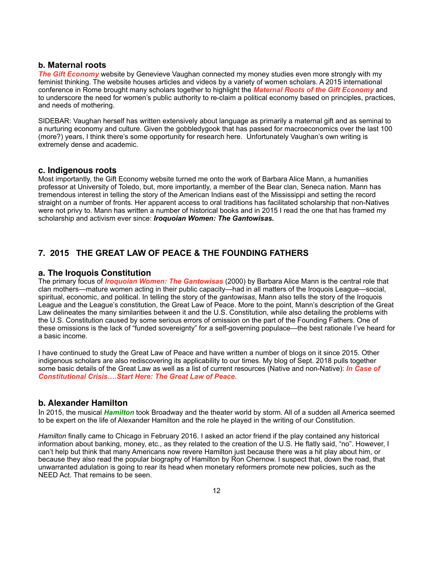#### **b. Maternal roots**

**The Gift Economy** website by Genevieve Vaughan connected my money studies even more strongly with my feminist thinking. The website houses articles and videos by a variety of women scholars. A 2015 international conference in Rome brought many scholars together to highlight the *Maternal Roots of the Gift Economy* and to underscore the need for women's public authority to re-claim a political economy based on principles, practices, and needs of mothering.

SIDEBAR: Vaughan herself has written extensively about language as primarily a maternal gift and as seminal to a nurturing economy and culture. Given the gobbledygook that has passed for macroeconomics over the last 100 (more?) years, I think there's some opportunity for research here. Unfortunately Vaughan's own writing is extremely dense and academic.

### **c. Indigenous roots**

Most importantly, the Gift Economy website turned me onto the work of Barbara Alice Mann, a humanities professor at University of Toledo, but, more importantly, a member of the Bear clan, Seneca nation. Mann has tremendous interest in telling the story of the American Indians east of the Mississippi and setting the record straight on a number of fronts. Her apparent access to oral traditions has facilitated scholarship that non-Natives were not privy to. Mann has written a number of historical books and in 2015 I read the one that has framed my scholarship and activism ever since: *Iroquoian Women: The Gantowisas.*

# **7. 2015 THE GREAT LAW OF PEACE & THE FOUNDING FATHERS**

#### **a. The Iroquois Constitution**

The primary focus of *Iroquoian Women: The Gantowisas* (2000) by Barbara Alice Mann is the central role that clan mothers—mature women acting in their public capacity—had in all matters of the Iroquois League—social, spiritual, economic, and political. In telling the story of the *gantowisas*, Mann also tells the story of the Iroquois League and the League's constitution, the Great Law of Peace. More to the point, Mann's description of the Great Law delineates the many similarities between it and the U.S. Constitution, while also detailing the problems with the U.S. Constitution caused by some serious errors of omission on the part of the Founding Fathers. One of these omissions is the lack of "funded sovereignty" for a self-governing populace—the best rationale I've heard for a basic income.

I have continued to study the Great Law of Peace and have written a number of blogs on it since 2015. Other indigenous scholars are also rediscovering its applicability to our times. My blog of Sept. 2018 pulls together some basic details of the Great Law as well as a list of current resources (Native and non-Native): *In Case of Constitutional Crisis….Start Here: The Great Law of Peace.*

### **b. Alexander Hamilton**

In 2015, the musical *Hamilton* took Broadway and the theater world by storm. All of a sudden all America seemed to be expert on the life of Alexander Hamilton and the role he played in the writing of our Constitution.

*Hamilton* finally came to Chicago in February 2016. I asked an actor friend if the play contained any historical information about banking, money, etc., as they related to the creation of the U.S. He flatly said, "no". However, I can't help but think that many Americans now revere Hamilton just because there was a hit play about him, or because they also read the popular biography of Hamilton by Ron Chernow. I suspect that, down the road, that unwarranted adulation is going to rear its head when monetary reformers promote new policies, such as the NEED Act. That remains to be seen.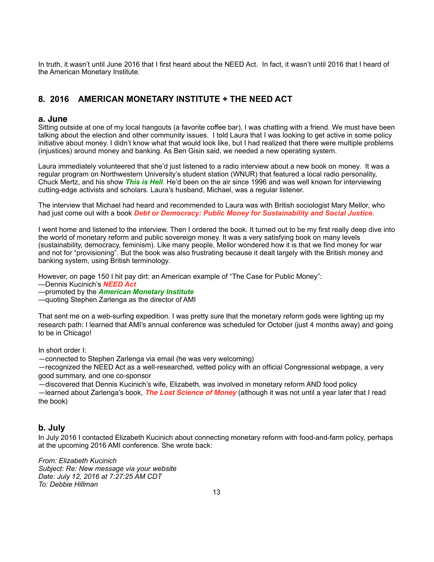In truth, it wasn't until June 2016 that I first heard about the NEED Act. In fact, it wasn't until 2016 that I heard of the American Monetary Institute.

# **8. 2016 AMERICAN MONETARY INSTITUTE + THE NEED ACT**

## **a. June**

Sitting outside at one of my local hangouts (a favorite coffee bar), I was chatting with a friend. We must have been talking about the election and other community issues. I told Laura that I was looking to get active in some policy initiative about money. I didn't know what that would look like, but I had realized that there were multiple problems (injustices) around money and banking. As Ben Gisin said, we needed a new operating system.

Laura immediately volunteered that she'd just listened to a radio interview about a new book on money. It was a regular program on Northwestern University's student station (WNUR) that featured a local radio personality, Chuck Mertz, and his show *This is Hell*. He'd been on the air since 1996 and was well known for interviewing cutting-edge activists and scholars. Laura's husband, Michael, was a regular listener.

The interview that Michael had heard and recommended to Laura was with British sociologist Mary Mellor, who had just come out with a book *Debt or Democracy: Public Money for Sustainability and Social Justice.*

I went home and listened to the interview. Then I ordered the book. It turned out to be my first really deep dive into the world of monetary reform and public sovereign money. It was a very satisfying book on many levels (sustainability, democracy, feminism). Like many people, Mellor wondered how it is that we find money for war and not for "provisioning". But the book was also frustrating because it dealt largely with the British money and banking system, using British terminology.

However, on page 150 I hit pay dirt: an American example of "The Case for Public Money":

—Dennis Kucinich's *NEED Act*

—promoted by the *American Monetary Institute*

—quoting Stephen Zarlenga as the director of AMI

That sent me on a web-surfing expedition. I was pretty sure that the monetary reform gods were lighting up my research path: I learned that AMI's annual conference was scheduled for October (just 4 months away) and going to be in Chicago!

In short order I:

—connected to Stephen Zarlenga via email (he was very welcoming)

—recognized the NEED Act as a well-researched, vetted policy with an official Congressional webpage, a very good summary, and one co-sponsor

—discovered that Dennis Kucinich's wife, Elizabeth, was involved in monetary reform AND food policy

—learned about Zarlenga's book, *The Lost Science of Money* (although it was not until a year later that I read the book)

# **b. July**

In July 2016 I contacted Elizabeth Kucinich about connecting monetary reform with food-and-farm policy, perhaps at the upcoming 2016 AMI conference. She wrote back:

*From: Elizabeth Kucinich Subject: Re: New message via your website Date: July 12, 2016 at 7:27:25 AM CDT To: Debbie Hillman*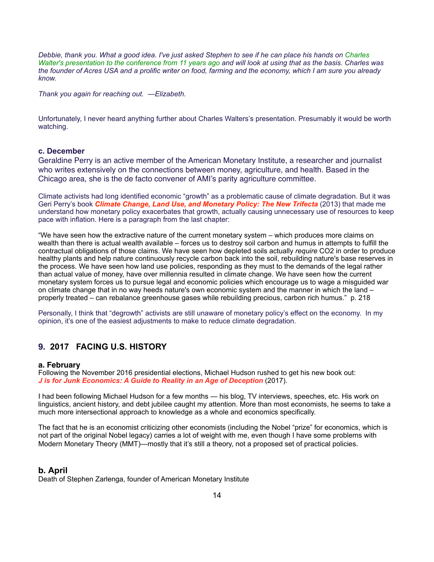*Debbie, thank you. What a good idea. I've just asked Stephen to see if he can place his hands on Charles Walter's presentation to the conference from 11 years ago and will look at using that as the basis. Charles was the founder of Acres USA and a prolific writer on food, farming and the economy, which I am sure you already know.* 

*Thank you again for reaching out. —Elizabeth.* 

Unfortunately, I never heard anything further about Charles Walters's presentation. Presumably it would be worth watching.

#### **c. December**

Geraldine Perry is an active member of the American Monetary Institute, a researcher and journalist who writes extensively on the connections between money, agriculture, and health. Based in the Chicago area, she is the de facto convener of AMI's parity agriculture committee.

Climate activists had long identified economic "growth" as a problematic cause of climate degradation. But it was Geri Perry's book *Climate Change, Land Use, and Monetary Policy: The New Trifecta* (2013) that made me understand how monetary policy exacerbates that growth, actually causing unnecessary use of resources to keep pace with inflation. Here is a paragraph from the last chapter:

"We have seen how the extractive nature of the current monetary system – which produces more claims on wealth than there is actual wealth available – forces us to destroy soil carbon and humus in attempts to fulfill the contractual obligations of those claims. We have seen how depleted soils actually *require* CO2 in order to produce healthy plants and help nature continuously recycle carbon back into the soil, rebuilding nature's base reserves in the process. We have seen how land use policies, responding as they must to the demands of the legal rather than actual value of money, have over millennia resulted in climate change. We have seen how the current monetary system forces us to pursue legal and economic policies which encourage us to wage a misguided war on climate change that in no way heeds nature's own economic system and the manner in which the land – properly treated – can rebalance greenhouse gases while rebuilding precious, carbon rich humus." p. 218

Personally, I think that "degrowth" activists are still unaware of monetary policy's effect on the economy. In my opinion, it's one of the easiest adjustments to make to reduce climate degradation.

# **9. 2017 FACING U.S. HISTORY**

#### **a. February**

Following the November 2016 presidential elections, Michael Hudson rushed to get his new book out: *J is for Junk Economics: A Guide to Reality in an Age of Deception* (2017).

I had been following Michael Hudson for a few months — his blog, TV interviews, speeches, etc. His work on linguistics, ancient history, and debt jubilee caught my attention. More than most economists, he seems to take a much more intersectional approach to knowledge as a whole and economics specifically.

The fact that he is an economist criticizing other economists (including the Nobel "prize" for economics, which is not part of the original Nobel legacy) carries a lot of weight with me, even though I have some problems with Modern Monetary Theory (MMT)—mostly that it's still a theory, not a proposed set of practical policies.

### **b. April**

Death of Stephen Zarlenga, founder of American Monetary Institute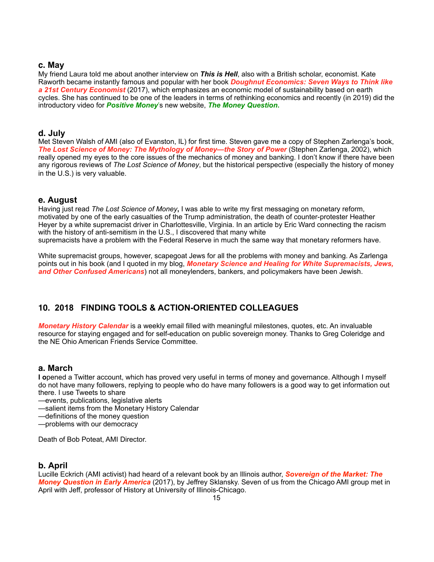## **c. May**

My friend Laura told me about another interview on *This is Hell*, also with a British scholar, economist. Kate Raworth became instantly famous and popular with her book *Doughnut Economics: Seven Ways to Think like a 21st Century Economist* (2017), which emphasizes an economic model of sustainability based on earth cycles. She has continued to be one of the leaders in terms of rethinking economics and recently (in 2019) did the introductory video for *Positive Money*'s new website, *The Money Question***.**

## **d. July**

Met Steven Walsh of AMI (also of Evanston, IL) for first time. Steven gave me a copy of Stephen Zarlenga's book, *The Lost Science of Money: The Mythology of Money—the Story of Power* (Stephen Zarlenga, 2002), which really opened my eyes to the core issues of the mechanics of money and banking. I don't know if there have been any rigorous reviews of *The Lost Science of Money*, but the historical perspective (especially the history of money in the U.S.) is very valuable.

# **e. August**

Having just read *The Lost Science of Money***,** I was able to write my first messaging on monetary reform, motivated by one of the early casualties of the Trump administration, the death of counter-protester Heather Heyer by a white supremacist driver in Charlottesville, Virginia. In an article by Eric Ward connecting the racism with the history of anti-semitism in the U.S., I discovered that many white supremacists have a problem with the Federal Reserve in much the same way that monetary reformers have.

White supremacist groups, however, scapegoat Jews for all the problems with money and banking. As Zarlenga points out in his book (and I quoted in my blog, *Monetary Science and Healing for White Supremacists, Jews, and Other Confused Americans*) not all moneylenders, bankers, and policymakers have been Jewish.

# **10. 2018 FINDING TOOLS & ACTION-ORIENTED COLLEAGUES**

*Monetary History Calendar* is a weekly email filled with meaningful milestones, quotes, etc. An invaluable resource for staying engaged and for self-education on public sovereign money. Thanks to Greg Coleridge and the NE Ohio American Friends Service Committee.

## **a. March**

**I o**pened a Twitter account, which has proved very useful in terms of money and governance. Although I myself do not have many followers, replying to people who do have many followers is a good way to get information out there. I use Tweets to share

—events, publications, legislative alerts

—salient items from the Monetary History Calendar

—definitions of the money question

—problems with our democracy

Death of Bob Poteat, AMI Director.

# **b. April**

Lucille Eckrich (AMI activist) had heard of a relevant book by an Illinois author, *Sovereign of the Market: The Money Question in Early America* (2017), by Jeffrey Sklansky. Seven of us from the Chicago AMI group met in April with Jeff, professor of History at University of Illinois-Chicago.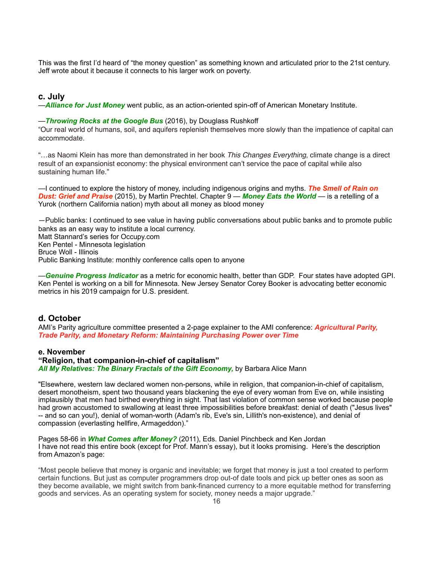This was the first I'd heard of "the money question" as something known and articulated prior to the 21st century. Jeff wrote about it because it connects to his larger work on poverty.

## **c. July**

—*Alliance for Just Money* went public, as an action-oriented spin-off of American Monetary Institute.

#### —*Throwing Rocks at the Google Bus* (2016), by Douglass Rushkoff

"Our real world of humans, soil, and aquifers replenish themselves more slowly than the impatience of capital can accommodate.

"…as Naomi Klein has more than demonstrated in her book *This Changes Everything*, climate change is a direct result of an expansionist economy: the physical environment can't service the pace of capital while also sustaining human life."

—I continued to explore the history of money, including indigenous origins and myths. *The Smell of Rain on Dust: Grief and Praise* (2015), by Martin Prechtel. Chapter 9 — *Money Eats the World* — is a retelling of a Yurok (northern California nation) myth about all money as blood money

—Public banks: I continued to see value in having public conversations about public banks and to promote public banks as an easy way to institute a local currency.

Matt Stannard's series for Occupy.com Ken Pentel - Minnesota legislation Bruce Woll - Illinois Public Banking Institute: monthly conference calls open to anyone

—*Genuine Progress Indicator* as a metric for economic health, better than GDP. Four states have adopted GPI. Ken Pentel is working on a bill for Minnesota. New Jersey Senator Corey Booker is advocating better economic metrics in his 2019 campaign for U.S. president.

### **d. October**

AMI's Parity agriculture committee presented a 2-page explainer to the AMI conference: *Agricultural Parity, Trade Parity, and Monetary Reform: Maintaining Purchasing Power over Time*

### **e. November**

## **"Religion, that companion-in-chief of capitalism"**

*All My Relatives: The Binary Fractals of the Gift Economy,* by Barbara Alice Mann

"Elsewhere, western law declared women non-persons, while in religion, that companion-in-chief of capitalism, desert monotheism, spent two thousand years blackening the eye of every woman from Eve on, while insisting implausibly that men had birthed everything in sight. That last violation of common sense worked because people had grown accustomed to swallowing at least three impossibilities before breakfast: denial of death ("Jesus lives" -- and so can you!), denial of woman-worth (Adam's rib, Eve's sin, Lillith's non-existence), and denial of compassion (everlasting hellfire, Armageddon)."

Pages 58-66 in *What Comes after Money?* (2011), Eds. Daniel Pinchbeck and Ken Jordan I have not read this entire book (except for Prof. Mann's essay), but it looks promising. Here's the description from Amazon's page:

"Most people believe that money is organic and inevitable; we forget that money is just a tool created to perform certain functions. But just as computer programmers drop out-of date tools and pick up better ones as soon as they become available, we might switch from bank-financed currency to a more equitable method for transferring goods and services. As an operating system for society, money needs a major upgrade."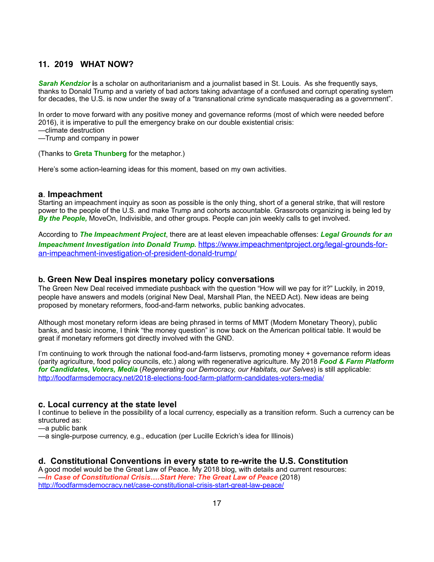# **11. 2019 WHAT NOW?**

*Sarah Kendzior* **i**s a scholar on authoritarianism and a journalist based in St. Louis. As she frequently says, thanks to Donald Trump and a variety of bad actors taking advantage of a confused and corrupt operating system for decades, the U.S. is now under the sway of a "transnational crime syndicate masquerading as a government".

In order to move forward with any positive money and governance reforms (most of which were needed before 2016), it is imperative to pull the emergency brake on our double existential crisis:

—climate destruction

—Trump and company in power

(Thanks to **Greta Thunberg** for the metaphor.)

Here's some action-learning ideas for this moment, based on my own activities.

## **a**. **Impeachment**

Starting an impeachment inquiry as soon as possible is the only thing, short of a general strike, that will restore power to the people of the U.S. and make Trump and cohorts accountable. Grassroots organizing is being led by *By the People,* MoveOn, Indivisible, and other groups. People can join weekly calls to get involved.

According to *The Impeachment Project*, there are at least eleven impeachable offenses: *Legal Grounds for an Impeachment Investigation into Donald Trump.* [https://www.impeachmentproject.org/legal-grounds-for](https://www.impeachmentproject.org/legal-grounds-for-an-impeachment-investigation-of-president-donald-trump/)an-impeachment-investigation-of-president-donald-trump/

## **b. Green New Deal inspires monetary policy conversations**

The Green New Deal received immediate pushback with the question "How will we pay for it?" Luckily, in 2019, people have answers and models (original New Deal, Marshall Plan, the NEED Act). New ideas are being proposed by monetary reformers, food-and-farm networks, public banking advocates.

Although most monetary reform ideas are being phrased in terms of MMT (Modern Monetary Theory), public banks, and basic income, I think "the money question" is now back on the American political table. It would be great if monetary reformers got directly involved with the GND.

I'm continuing to work through the national food-and-farm listservs, promoting money + governance reform ideas (parity agriculture, food policy councils, etc.) along with regenerative agriculture. My 2018 *Food & Farm Platform for Candidates, Voters, Media* (*Regenerating our Democracy, our Habitats, our Selves*) is still applicable: <http://foodfarmsdemocracy.net/2018-elections-food-farm-platform-candidates-voters-media/>

## **c. Local currency at the state level**

I continue to believe in the possibility of a local currency, especially as a transition reform. Such a currency can be structured as:

—a public bank

—a single-purpose currency, e.g., education (per Lucille Eckrich's idea for Illinois)

## **d. Constitutional Conventions in every state to re-write the U.S. Constitution**

A good model would be the Great Law of Peace. My 2018 blog, with details and current resources: —*In Case of Constitutional Crisis….Start Here: The Great Law of Peace* (2018) <http://foodfarmsdemocracy.net/case-constitutional-crisis-start-great-law-peace/>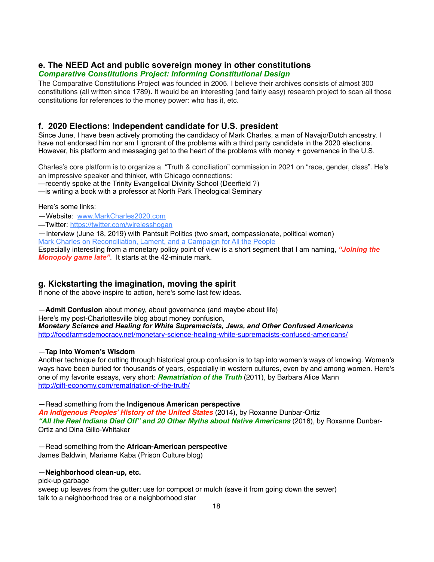# **e. The NEED Act and public sovereign money in other constitutions**

## *Comparative Constitutions Project: Informing Constitutional Design*

The Comparative Constitutions Project was founded in 2005. I believe their archives consists of almost 300 constitutions (all written since 1789). It would be an interesting (and fairly easy) research project to scan all those constitutions for references to the money power: who has it, etc.

## **f. 2020 Elections: Independent candidate for U.S. president**

Since June, I have been actively promoting the candidacy of Mark Charles, a man of Navajo/Dutch ancestry. I have not endorsed him nor am I ignorant of the problems with a third party candidate in the 2020 elections. However, his platform and messaging get to the heart of the problems with money + governance in the U.S.

Charles's core platform is to organize a "Truth & conciliation" commission in 2021 on "race, gender, class". He's an impressive speaker and thinker, with Chicago connections:

—recently spoke at the Trinity Evangelical Divinity School (Deerfield ?)

—is writing a book with a professor at North Park Theological Seminary

Here's some links:

—Website: [www.MarkCharles2020.com](http://www.markcharles2020.com/)

—Twitter:<https://twitter.com/wirelesshogan>

—Interview (June 18, 2019) with Pantsuit Politics (two smart, compassionate, political women)

[Mark Charles on Reconciliation, Lament, and a Campaign for All the People](http://www.pantsuitpoliticsshow.com/show-archives/2019/6/17/mark-charles-on-reconciliation-lament-and-a-campaign-for-all-the-people/)

Especially interesting from a monetary policy point of view is a short segment that I am naming, *"Joining the Monopoly game late"*. It starts at the 42-minute mark.

# **g. Kickstarting the imagination, moving the spirit**

If none of the above inspire to action, here's some last few ideas.

—**Admit Confusion** about money, about governance (and maybe about life)

Here's my post-Charlottesville blog about money confusion,

*Monetary Science and Healing for White Supremacists, Jews, and Other Confused Americans* <http://foodfarmsdemocracy.net/monetary-science-healing-white-supremacists-confused-americans/>

## —**Tap into Women's Wisdom**

Another technique for cutting through historical group confusion is to tap into women's ways of knowing. Women's ways have been buried for thousands of years, especially in western cultures, even by and among women. Here's one of my favorite essays, very short: *Rematriation of the Truth* (2011), by Barbara Alice Mann <http://gift-economy.com/rematriation-of-the-truth/>

—Read something from the **Indigenous American perspective**

*An Indigenous Peoples' History of the United States* (2014), by Roxanne Dunbar-Ortiz *"All the Real Indians Died Off" and 20 Other Myths about Native Americans* (2016), by Roxanne Dunbar-Ortiz and Dina Gilio-Whitaker

—Read something from the **African-American perspective** James Baldwin, Mariame Kaba (Prison Culture blog)

### —**Neighborhood clean-up, etc.**

pick-up garbage sweep up leaves from the gutter; use for compost or mulch (save it from going down the sewer) talk to a neighborhood tree or a neighborhood star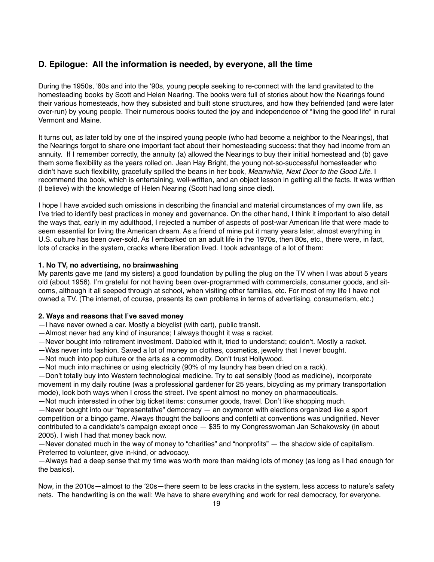# **D. Epilogue: All the information is needed, by everyone, all the time**

During the 1950s, '60s and into the '90s, young people seeking to re-connect with the land gravitated to the homesteading books by Scott and Helen Nearing. The books were full of stories about how the Nearings found their various homesteads, how they subsisted and built stone structures, and how they befriended (and were later over-run) by young people. Their numerous books touted the joy and independence of "living the good life" in rural Vermont and Maine.

It turns out, as later told by one of the inspired young people (who had become a neighbor to the Nearings), that the Nearings forgot to share one important fact about their homesteading success: that they had income from an annuity. If I remember correctly, the annuity (a) allowed the Nearings to buy their initial homestead and (b) gave them some flexibility as the years rolled on. Jean Hay Bright, the young not-so-successful homesteader who didn't have such flexibility, gracefully spilled the beans in her book, *Meanwhile, Next Door to the Good Life*. I recommend the book, which is entertaining, well-written, and an object lesson in getting all the facts. It was written (I believe) with the knowledge of Helen Nearing (Scott had long since died).

I hope I have avoided such omissions in describing the financial and material circumstances of my own life, as I've tried to identify best practices in money and governance. On the other hand, I think it important to also detail the ways that, early in my adulthood, I rejected a number of aspects of post-war American life that were made to seem essential for living the American dream. As a friend of mine put it many years later, almost everything in U.S. culture has been over-sold. As I embarked on an adult life in the 1970s, then 80s, etc., there were, in fact, lots of cracks in the system, cracks where liberation lived. I took advantage of a lot of them:

## **1. No TV, no advertising, no brainwashing**

My parents gave me (and my sisters) a good foundation by pulling the plug on the TV when I was about 5 years old (about 1956). I'm grateful for not having been over-programmed with commercials, consumer goods, and sitcoms, although it all seeped through at school, when visiting other families, etc. For most of my life I have not owned a TV. (The internet, of course, presents its own problems in terms of advertising, consumerism, etc.)

### **2. Ways and reasons that I've saved money**

- —I have never owned a car. Mostly a bicyclist (with cart), public transit.
- —Almost never had any kind of insurance; I always thought it was a racket.
- —Never bought into retirement investment. Dabbled with it, tried to understand; couldn't. Mostly a racket.
- —Was never into fashion. Saved a lot of money on clothes, cosmetics, jewelry that I never bought.
- —Not much into pop culture or the arts as a commodity. Don't trust Hollywood.
- —Not much into machines or using electricity (90% of my laundry has been dried on a rack).

—Don't totally buy into Western technological medicine. Try to eat sensibly (food as medicine), incorporate movement in my daily routine (was a professional gardener for 25 years, bicycling as my primary transportation mode), look both ways when I cross the street. I've spent almost no money on pharmaceuticals.

—Not much interested in other big ticket items: consumer goods, travel. Don't like shopping much.

—Never bought into our "representative" democracy — an oxymoron with elections organized like a sport competition or a bingo game. Always thought the balloons and confetti at conventions was undignified. Never contributed to a candidate's campaign except once — \$35 to my Congresswoman Jan Schakowsky (in about 2005). I wish I had that money back now.

—Never donated much in the way of money to "charities" and "nonprofits" — the shadow side of capitalism. Preferred to volunteer, give in-kind, or advocacy.

—Always had a deep sense that my time was worth more than making lots of money (as long as I had enough for the basics).

Now, in the 2010s—almost to the '20s—there seem to be less cracks in the system, less access to nature's safety nets. The handwriting is on the wall: We have to share everything and work for real democracy, for everyone.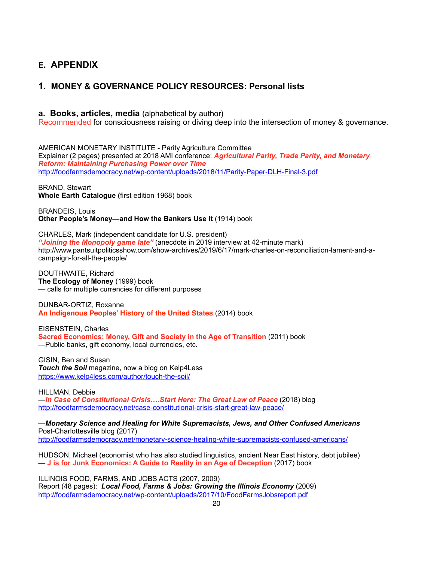# **E. APPENDIX**

# **1. MONEY & GOVERNANCE POLICY RESOURCES: Personal lists**

## **a. Books, articles, media** (alphabetical by author)

Recommended for consciousness raising or diving deep into the intersection of money & governance.

AMERICAN MONETARY INSTITUTE - Parity Agriculture Committee Explainer (2 pages) presented at 2018 AMI conference: *Agricultural Parity, Trade Parity, and Monetary Reform: Maintaining Purchasing Power over Time*  <http://foodfarmsdemocracy.net/wp-content/uploads/2018/11/Parity-Paper-DLH-Final-3.pdf>

## BRAND, Stewart

**Whole Earth Catalogue (**first edition 1968) book

BRANDEIS, Louis **Other People's Money—and How the Bankers Use it** (1914) book

CHARLES, Mark (independent candidate for U.S. president) *"Joining the Monopoly game late"* (anecdote in 2019 interview at 42-minute mark) http://www.pantsuitpoliticsshow.com/show-archives/2019/6/17/mark-charles-on-reconciliation-lament-and-acampaign-for-all-the-people/

DOUTHWAITE, Richard **The Ecology of Money** (1999) book — calls for multiple currencies for different purposes

DUNBAR-ORTIZ, Roxanne **An Indigenous Peoples' History of the United States** (2014) book

EISENSTEIN, Charles **Sacred Economics: Money, Gift and Society in the Age of Transition** (2011) book —Public banks, gift economy, local currencies, etc.

GISIN, Ben and Susan *Touch the Soil* magazine, now a blog on Kelp4Less <https://www.kelp4less.com/author/touch-the-soil/>

HILLMAN, Debbie —*In Case of Constitutional Crisis….Start Here: The Great Law of Peace* (2018) blog <http://foodfarmsdemocracy.net/case-constitutional-crisis-start-great-law-peace/>

—*Monetary Science and Healing for White Supremacists, Jews, and Other Confused Americans* Post-Charlottesville blog (2017) <http://foodfarmsdemocracy.net/monetary-science-healing-white-supremacists-confused-americans/>

HUDSON, Michael (economist who has also studied linguistics, ancient Near East history, debt jubilee) — **J is for Junk Economics: A Guide to Reality in an Age of Deception** (2017) book

ILLINOIS FOOD, FARMS, AND JOBS ACTS (2007, 2009) Report (48 pages): *Local Food, Farms & Jobs: Growing the Illinois Economy* (2009) <http://foodfarmsdemocracy.net/wp-content/uploads/2017/10/FoodFarmsJobsreport.pdf>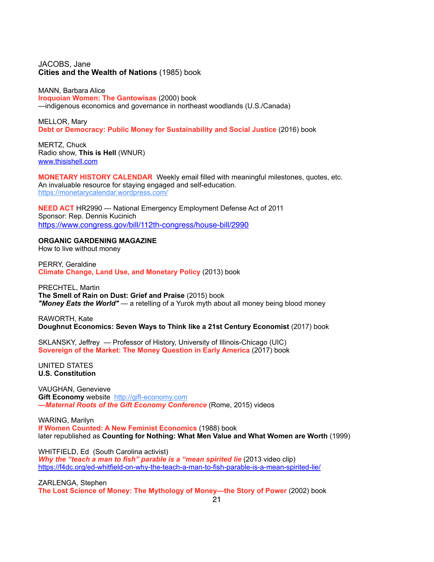## JACOBS, Jane **Cities and the Wealth of Nations** (1985) book

MANN, Barbara Alice **Iroquoian Women: The Gantowisas** (2000) book —indigenous economics and governance in northeast woodlands (U.S./Canada)

MELLOR, Mary **Debt or Democracy: Public Money for Sustainability and Social Justice** (2016) book

MERTZ, Chuck Radio show, **This is Hell** (WNUR) [www.thisishell.com](http://www.thisishell.com)

**MONETARY HISTORY CALENDAR** Weekly email filled with meaningful milestones, quotes, etc. An invaluable resource for staying engaged and self-education. <https://monetarycalendar.wordpress.com/>

**NEED ACT** HR2990 — National Emergency Employment Defense Act of 2011 Sponsor: Rep. Dennis Kucinich <https://www.congress.gov/bill/112th-congress/house-bill/2990>

#### **ORGANIC GARDENING MAGAZINE**

How to live without money

PERRY, Geraldine **Climate Change, Land Use, and Monetary Policy** (2013) book

PRECHTEL, Martin **The Smell of Rain on Dust: Grief and Praise** (2015) book *"Money Eats the World"* — a retelling of a Yurok myth about all money being blood money

RAWORTH, Kate **Doughnut Economics: Seven Ways to Think like a 21st Century Economist** (2017) book

SKLANSKY, Jeffrey — Professor of History, University of Illinois-Chicago (UIC) **Sovereign of the Market: The Money Question in Early America** (2017) book

UNITED STATES **U.S. Constitution**

VAUGHAN, Genevieve **Gift Economy** website [http://gift-economy.com](http://gift-economy.com/) *—Maternal Roots of the Gift Economy Conference* (Rome, 2015) videos

WARING, Marilyn **If Women Counted: A New Feminist Economics** (1988) book later republished as **Counting for Nothing: What Men Value and What Women are Worth** (1999)

WHITFIELD, Ed (South Carolina activist) *Why the "teach a man to fish" parable is a "mean spirited lie* (2013 video clip) <https://f4dc.org/ed-whitfield-on-why-the-teach-a-man-to-fish-parable-is-a-mean-spirited-lie/>

ZARLENGA, Stephen **The Lost Science of Money: The Mythology of Money—the Story of Power** (2002) book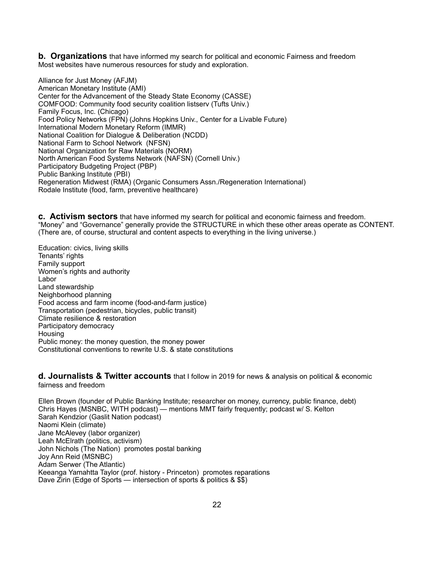**b. Organizations** that have informed my search for political and economic Fairness and freedom Most websites have numerous resources for study and exploration.

Alliance for Just Money (AFJM) American Monetary Institute (AMI) Center for the Advancement of the Steady State Economy (CASSE) COMFOOD: Community food security coalition listserv (Tufts Univ.) Family Focus, Inc. (Chicago) Food Policy Networks (FPN) (Johns Hopkins Univ., Center for a Livable Future) International Modern Monetary Reform (IMMR) National Coalition for Dialogue & Deliberation (NCDD) National Farm to School Network (NFSN) National Organization for Raw Materials (NORM) North American Food Systems Network (NAFSN) (Cornell Univ.) Participatory Budgeting Project (PBP) Public Banking Institute (PBI) Regeneration Midwest (RMA) (Organic Consumers Assn./Regeneration International) Rodale Institute (food, farm, preventive healthcare)

**c. Activism sectors** that have informed my search for political and economic fairness and freedom. "Money" and "Governance" generally provide the STRUCTURE in which these other areas operate as CONTENT. (There are, of course, structural and content aspects to everything in the living universe.)

Education: civics, living skills Tenants' rights Family support Women's rights and authority Labor Land stewardship Neighborhood planning Food access and farm income (food-and-farm justice) Transportation (pedestrian, bicycles, public transit) Climate resilience & restoration Participatory democracy Housing Public money: the money question, the money power Constitutional conventions to rewrite U.S. & state constitutions

**d. Journalists & Twitter accounts** that I follow in 2019 for news & analysis on political & economic fairness and freedom

Ellen Brown (founder of Public Banking Institute; researcher on money, currency, public finance, debt) Chris Hayes (MSNBC, WITH podcast) — mentions MMT fairly frequently; podcast w/ S. Kelton Sarah Kendzior (Gaslit Nation podcast) Naomi Klein (climate) Jane McAlevey (labor organizer) Leah McElrath (politics, activism) John Nichols (The Nation) promotes postal banking Joy Ann Reid (MSNBC) Adam Serwer (The Atlantic) Keeanga Yamahtta Taylor (prof. history - Princeton) promotes reparations Dave Zirin (Edge of Sports — intersection of sports & politics & \$\$)